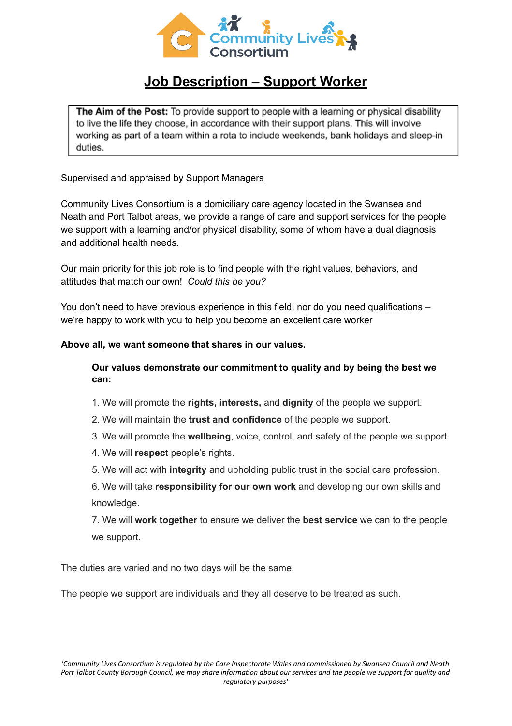

## **Job Description – Support Worker**

The Aim of the Post: To provide support to people with a learning or physical disability to live the life they choose, in accordance with their support plans. This will involve working as part of a team within a rota to include weekends, bank holidays and sleep-in duties.

Supervised and appraised by Support Managers

Community Lives Consortium is a domiciliary care agency located in the Swansea and Neath and Port Talbot areas, we provide a range of care and support services for the people we support with a learning and/or physical disability, some of whom have a dual diagnosis and additional health needs.

Our main priority for this job role is to find people with the right values, behaviors, and attitudes that match our own! *Could this be you?*

You don't need to have previous experience in this field, nor do you need qualifications – we're happy to work with you to help you become an excellent care worker

## **Above all, we want someone that shares in our values.**

## **Our values demonstrate our commitment to quality and by being the best we can:**

- 1. We will promote the **rights, interests,** and **dignity** of the people we support.
- 2. We will maintain the **trust and confidence** of the people we support.
- 3. We will promote the **wellbeing**, voice, control, and safety of the people we support.
- 4. We will **respect** people's rights.
- 5. We will act with **integrity** and upholding public trust in the social care profession.

6. We will take **responsibility for our own work** and developing our own skills and knowledge.

7. We will **work together** to ensure we deliver the **best service** we can to the people we support.

The duties are varied and no two days will be the same.

The people we support are individuals and they all deserve to be treated as such.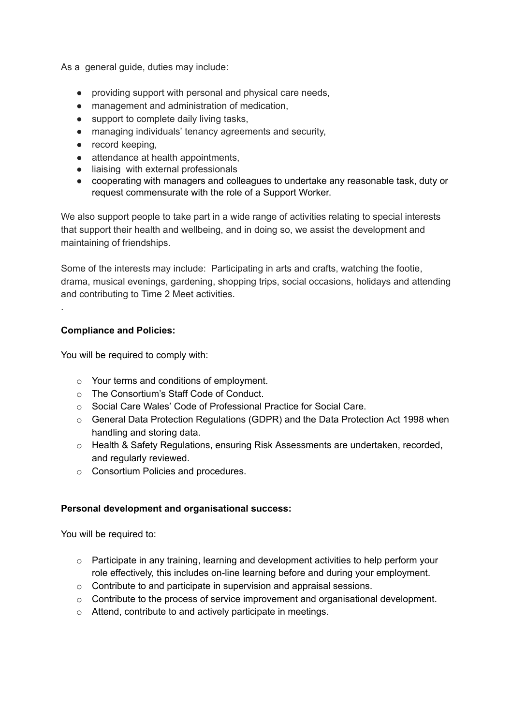As a general guide, duties may include:

- providing support with personal and physical care needs,
- management and administration of medication,
- support to complete daily living tasks,
- managing individuals' tenancy agreements and security,
- record keeping,
- attendance at health appointments,
- liaising with external professionals
- cooperating with managers and colleagues to undertake any reasonable task, duty or request commensurate with the role of a Support Worker.

We also support people to take part in a wide range of activities relating to special interests that support their health and wellbeing, and in doing so, we assist the development and maintaining of friendships.

Some of the interests may include: Participating in arts and crafts, watching the footie, drama, musical evenings, gardening, shopping trips, social occasions, holidays and attending and contributing to Time 2 Meet activities.

## **Compliance and Policies:**

.

You will be required to comply with:

- o Your terms and conditions of employment.
- o The Consortium's Staff Code of Conduct.
- o Social Care Wales' Code of Professional Practice for Social Care.
- $\circ$  General Data Protection Regulations (GDPR) and the Data Protection Act 1998 when handling and storing data.
- o Health & Safety Regulations, ensuring Risk Assessments are undertaken, recorded, and regularly reviewed.
- o Consortium Policies and procedures.

## **Personal development and organisational success:**

You will be required to:

- $\circ$  Participate in any training, learning and development activities to help perform your role effectively, this includes on-line learning before and during your employment.
- o Contribute to and participate in supervision and appraisal sessions.
- $\circ$  Contribute to the process of service improvement and organisational development.
- o Attend, contribute to and actively participate in meetings.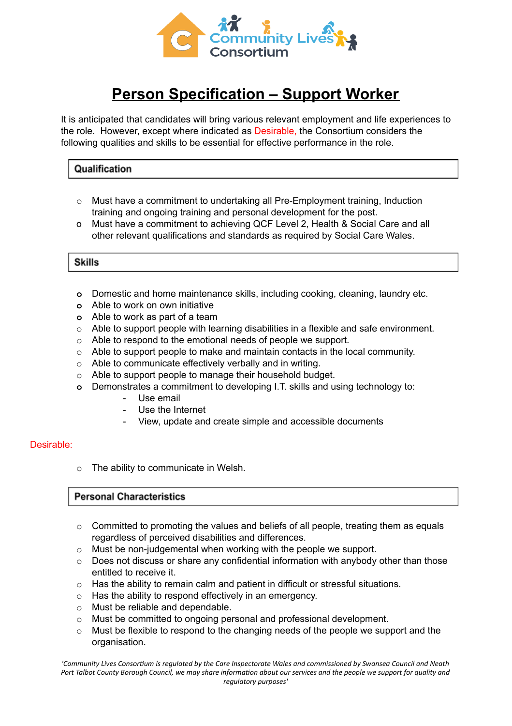

# **Person Specification – Support Worker**

It is anticipated that candidates will bring various relevant employment and life experiences to the role. However, except where indicated as Desirable, the Consortium considers the following qualities and skills to be essential for effective performance in the role.

## Qualification

- $\circ$  Must have a commitment to undertaking all Pre-Employment training, Induction training and ongoing training and personal development for the post.
- o Must have a commitment to achieving QCF Level 2, Health & Social Care and all other relevant qualifications and standards as required by Social Care Wales.

## **Skills**

- **o** Domestic and home maintenance skills, including cooking, cleaning, laundry etc.
- **o** Able to work on own initiative
- **o** Able to work as part of a team
- o Able to support people with learning disabilities in a flexible and safe environment.
- o Able to respond to the emotional needs of people we support.
- $\circ$  Able to support people to make and maintain contacts in the local community.
- o Able to communicate effectively verbally and in writing.
- o Able to support people to manage their household budget.
- **o** Demonstrates a commitment to developing I.T. skills and using technology to:
	- Use email
	- Use the Internet
	- View, update and create simple and accessible documents

## Desirable:

o The ability to communicate in Welsh.

## **Personal Characteristics**

- o Committed to promoting the values and beliefs of all people, treating them as equals regardless of perceived disabilities and differences.
- o Must be non-judgemental when working with the people we support.
- o Does not discuss or share any confidential information with anybody other than those entitled to receive it.
- o Has the ability to remain calm and patient in difficult or stressful situations.
- o Has the ability to respond effectively in an emergency.
- o Must be reliable and dependable.
- o Must be committed to ongoing personal and professional development.
- o Must be flexible to respond to the changing needs of the people we support and the organisation.

'Community Lives Consortium is regulated by the Care Inspectorate Wales and commissioned by Swansea Council and Neath Port Talbot County Borough Council, we may share information about our services and the people we support for quality and *regulatory purposes'*